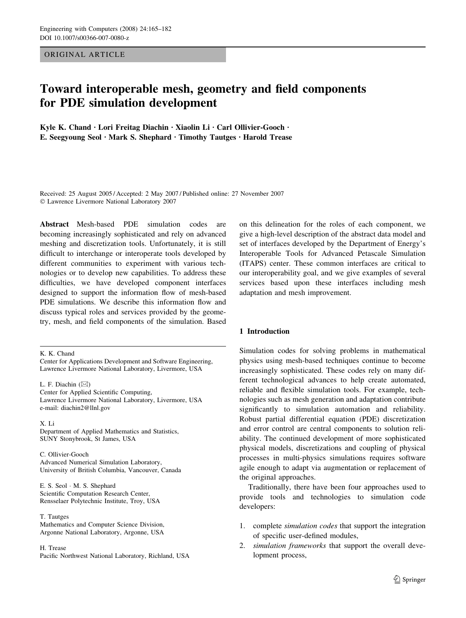ORIGINAL ARTICLE

# Toward interoperable mesh, geometry and field components for PDE simulation development

Kyle K. Chand · Lori Freitag Diachin · Xiaolin Li · Carl Ollivier-Gooch · E. Seegyoung Seol  $\cdot$  Mark S. Shephard  $\cdot$  Timothy Tautges  $\cdot$  Harold Trease

Received: 25 August 2005 / Accepted: 2 May 2007 / Published online: 27 November 2007 Lawrence Livermore National Laboratory 2007

Abstract Mesh-based PDE simulation codes are becoming increasingly sophisticated and rely on advanced meshing and discretization tools. Unfortunately, it is still difficult to interchange or interoperate tools developed by different communities to experiment with various technologies or to develop new capabilities. To address these difficulties, we have developed component interfaces designed to support the information flow of mesh-based PDE simulations. We describe this information flow and discuss typical roles and services provided by the geometry, mesh, and field components of the simulation. Based

K. K. Chand

Center for Applications Development and Software Engineering, Lawrence Livermore National Laboratory, Livermore, USA

L. F. Diachin  $(\boxtimes)$ Center for Applied Scientific Computing, Lawrence Livermore National Laboratory, Livermore, USA e-mail: diachin2@llnl.gov

### X. Li

Department of Applied Mathematics and Statistics, SUNY Stonybrook, St James, USA

C. Ollivier-Gooch Advanced Numerical Simulation Laboratory, University of British Columbia, Vancouver, Canada

E. S. Seol · M. S. Shephard Scientific Computation Research Center, Rensselaer Polytechnic Institute, Troy, USA

T. Tautges Mathematics and Computer Science Division, Argonne National Laboratory, Argonne, USA

H. Trease

Pacific Northwest National Laboratory, Richland, USA

on this delineation for the roles of each component, we give a high-level description of the abstract data model and set of interfaces developed by the Department of Energy's Interoperable Tools for Advanced Petascale Simulation (ITAPS) center. These common interfaces are critical to our interoperability goal, and we give examples of several services based upon these interfaces including mesh adaptation and mesh improvement.

# 1 Introduction

Simulation codes for solving problems in mathematical physics using mesh-based techniques continue to become increasingly sophisticated. These codes rely on many different technological advances to help create automated, reliable and flexible simulation tools. For example, technologies such as mesh generation and adaptation contribute significantly to simulation automation and reliability. Robust partial differential equation (PDE) discretization and error control are central components to solution reliability. The continued development of more sophisticated physical models, discretizations and coupling of physical processes in multi-physics simulations requires software agile enough to adapt via augmentation or replacement of the original approaches.

Traditionally, there have been four approaches used to provide tools and technologies to simulation code developers:

- 1. complete simulation codes that support the integration of specific user-defined modules,
- 2. simulation frameworks that support the overall development process,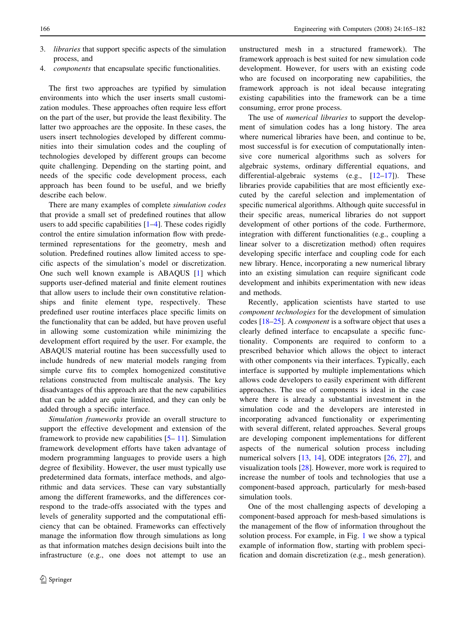- 3. libraries that support specific aspects of the simulation process, and
- 4. components that encapsulate specific functionalities.

The first two approaches are typified by simulation environments into which the user inserts small customization modules. These approaches often require less effort on the part of the user, but provide the least flexibility. The latter two approaches are the opposite. In these cases, the users insert technologies developed by different communities into their simulation codes and the coupling of technologies developed by different groups can become quite challenging. Depending on the starting point, and needs of the specific code development process, each approach has been found to be useful, and we briefly describe each below.

There are many examples of complete simulation codes that provide a small set of predefined routines that allow users to add specific capabilities  $[1-4]$ . These codes rigidly control the entire simulation information flow with predetermined representations for the geometry, mesh and solution. Predefined routines allow limited access to specific aspects of the simulation's model or discretization. One such well known example is ABAQUS [\[1](#page-16-0)] which supports user-defined material and finite element routines that allow users to include their own constitutive relationships and finite element type, respectively. These predefined user routine interfaces place specific limits on the functionality that can be added, but have proven useful in allowing some customization while minimizing the development effort required by the user. For example, the ABAQUS material routine has been successfully used to include hundreds of new material models ranging from simple curve fits to complex homogenized constitutive relations constructed from multiscale analysis. The key disadvantages of this approach are that the new capabilities that can be added are quite limited, and they can only be added through a specific interface.

Simulation frameworks provide an overall structure to support the effective development and extension of the framework to provide new capabilities [[5–](#page-16-0) [11](#page-16-0)]. Simulation framework development efforts have taken advantage of modern programming languages to provide users a high degree of flexibility. However, the user must typically use predetermined data formats, interface methods, and algorithmic and data services. These can vary substantially among the different frameworks, and the differences correspond to the trade-offs associated with the types and levels of generality supported and the computational efficiency that can be obtained. Frameworks can effectively manage the information flow through simulations as long as that information matches design decisions built into the infrastructure (e.g., one does not attempt to use an

unstructured mesh in a structured framework). The framework approach is best suited for new simulation code development. However, for users with an existing code who are focused on incorporating new capabilities, the framework approach is not ideal because integrating existing capabilities into the framework can be a time consuming, error prone process.

The use of numerical libraries to support the development of simulation codes has a long history. The area where numerical libraries have been, and continue to be, most successful is for execution of computationally intensive core numerical algorithms such as solvers for algebraic systems, ordinary differential equations, and differential-algebraic systems (e.g., [\[12–17](#page-16-0)]). These libraries provide capabilities that are most efficiently executed by the careful selection and implementation of specific numerical algorithms. Although quite successful in their specific areas, numerical libraries do not support development of other portions of the code. Furthermore, integration with different functionalities (e.g., coupling a linear solver to a discretization method) often requires developing specific interface and coupling code for each new library. Hence, incorporating a new numerical library into an existing simulation can require significant code development and inhibits experimentation with new ideas and methods.

Recently, application scientists have started to use component technologies for the development of simulation codes [[18–25\]](#page-16-0). A component is a software object that uses a clearly defined interface to encapsulate a specific functionality. Components are required to conform to a prescribed behavior which allows the object to interact with other components via their interfaces. Typically, each interface is supported by multiple implementations which allows code developers to easily experiment with different approaches. The use of components is ideal in the case where there is already a substantial investment in the simulation code and the developers are interested in incorporating advanced functionality or experimenting with several different, related approaches. Several groups are developing component implementations for different aspects of the numerical solution process including numerical solvers [\[13](#page-16-0), [14](#page-16-0)], ODE integrators [\[26](#page-16-0), [27](#page-16-0)], and visualization tools [\[28](#page-16-0)]. However, more work is required to increase the number of tools and technologies that use a component-based approach, particularly for mesh-based simulation tools.

One of the most challenging aspects of developing a component-based approach for mesh-based simulations is the management of the flow of information throughout the solution process. For example, in Fig. [1](#page-2-0) we show a typical example of information flow, starting with problem specification and domain discretization (e.g., mesh generation).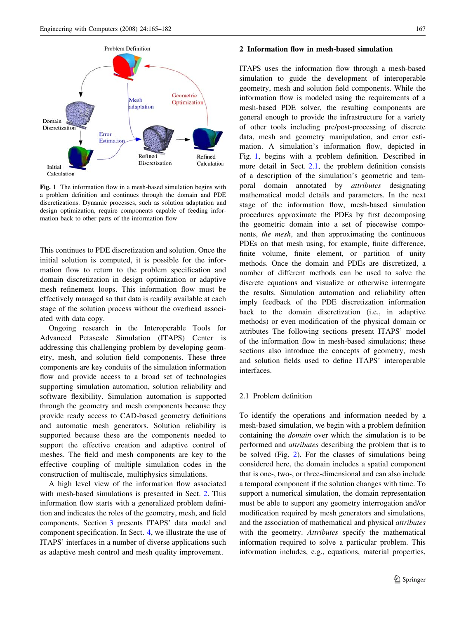<span id="page-2-0"></span>

Fig. 1 The information flow in a mesh-based simulation begins with a problem definition and continues through the domain and PDE discretizations. Dynamic processes, such as solution adaptation and design optimization, require components capable of feeding information back to other parts of the information flow

This continues to PDE discretization and solution. Once the initial solution is computed, it is possible for the information flow to return to the problem specification and domain discretization in design optimization or adaptive mesh refinement loops. This information flow must be effectively managed so that data is readily available at each stage of the solution process without the overhead associated with data copy.

Ongoing research in the Interoperable Tools for Advanced Petascale Simulation (ITAPS) Center is addressing this challenging problem by developing geometry, mesh, and solution field components. These three components are key conduits of the simulation information flow and provide access to a broad set of technologies supporting simulation automation, solution reliability and software flexibility. Simulation automation is supported through the geometry and mesh components because they provide ready access to CAD-based geometry definitions and automatic mesh generators. Solution reliability is supported because these are the components needed to support the effective creation and adaptive control of meshes. The field and mesh components are key to the effective coupling of multiple simulation codes in the construction of multiscale, multiphysics simulations.

A high level view of the information flow associated with mesh-based simulations is presented in Sect. 2. This information flow starts with a generalized problem definition and indicates the roles of the geometry, mesh, and field components. Section [3](#page-6-0) presents ITAPS' data model and component specification. In Sect. [4,](#page-10-0) we illustrate the use of ITAPS' interfaces in a number of diverse applications such as adaptive mesh control and mesh quality improvement.

#### 2 Information flow in mesh-based simulation

ITAPS uses the information flow through a mesh-based simulation to guide the development of interoperable geometry, mesh and solution field components. While the information flow is modeled using the requirements of a mesh-based PDE solver, the resulting components are general enough to provide the infrastructure for a variety of other tools including pre/post-processing of discrete data, mesh and geometry manipulation, and error estimation. A simulation's information flow, depicted in Fig. 1, begins with a problem definition. Described in more detail in Sect. 2.1, the problem definition consists of a description of the simulation's geometric and temporal domain annotated by attributes designating mathematical model details and parameters. In the next stage of the information flow, mesh-based simulation procedures approximate the PDEs by first decomposing the geometric domain into a set of piecewise components, the mesh, and then approximating the continuous PDEs on that mesh using, for example, finite difference, finite volume, finite element, or partition of unity methods. Once the domain and PDEs are discretized, a number of different methods can be used to solve the discrete equations and visualize or otherwise interrogate the results. Simulation automation and reliability often imply feedback of the PDE discretization information back to the domain discretization (i.e., in adaptive methods) or even modification of the physical domain or attributes The following sections present ITAPS' model of the information flow in mesh-based simulations; these sections also introduce the concepts of geometry, mesh and solution fields used to define ITAPS' interoperable interfaces.

### 2.1 Problem definition

To identify the operations and information needed by a mesh-based simulation, we begin with a problem definition containing the domain over which the simulation is to be performed and attributes describing the problem that is to be solved (Fig. [2\)](#page-3-0). For the classes of simulations being considered here, the domain includes a spatial component that is one-, two-, or three-dimensional and can also include a temporal component if the solution changes with time. To support a numerical simulation, the domain representation must be able to support any geometry interrogation and/or modification required by mesh generators and simulations, and the association of mathematical and physical attributes with the geometry. Attributes specify the mathematical information required to solve a particular problem. This information includes, e.g., equations, material properties,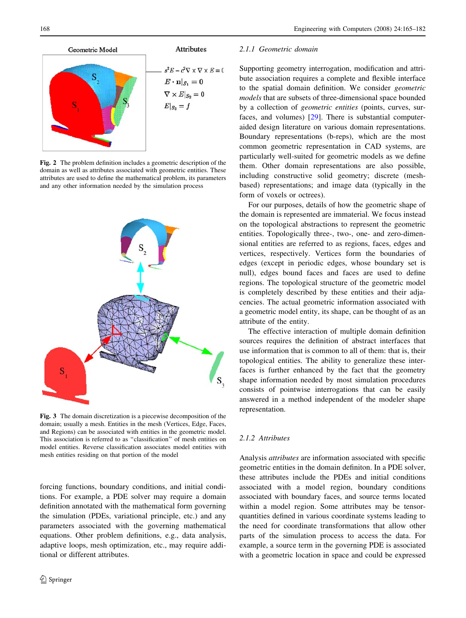<span id="page-3-0"></span>

Fig. 2 The problem definition includes a geometric description of the domain as well as attributes associated with geometric entities. These attributes are used to define the mathematical problem, its parameters and any other information needed by the simulation process



Fig. 3 The domain discretization is a piecewise decomposition of the domain; usually a mesh. Entities in the mesh (Vertices, Edge, Faces, and Regions) can be associated with entities in the geometric model. This association is referred to as ''classification'' of mesh entities on model entities. Reverse classification associates model entities with mesh entities residing on that portion of the model

forcing functions, boundary conditions, and initial conditions. For example, a PDE solver may require a domain definition annotated with the mathematical form governing the simulation (PDEs, variational principle, etc.) and any parameters associated with the governing mathematical equations. Other problem definitions, e.g., data analysis, adaptive loops, mesh optimization, etc., may require additional or different attributes.

### 2.1.1 Geometric domain

Supporting geometry interrogation, modification and attribute association requires a complete and flexible interface to the spatial domain definition. We consider geometric models that are subsets of three-dimensional space bounded by a collection of geometric entities (points, curves, surfaces, and volumes) [\[29](#page-16-0)]. There is substantial computeraided design literature on various domain representations. Boundary representations (b-reps), which are the most common geometric representation in CAD systems, are particularly well-suited for geometric models as we define them. Other domain representations are also possible, including constructive solid geometry; discrete (meshbased) representations; and image data (typically in the form of voxels or octrees).

For our purposes, details of how the geometric shape of the domain is represented are immaterial. We focus instead on the topological abstractions to represent the geometric entities. Topologically three-, two-, one- and zero-dimensional entities are referred to as regions, faces, edges and vertices, respectively. Vertices form the boundaries of edges (except in periodic edges, whose boundary set is null), edges bound faces and faces are used to define regions. The topological structure of the geometric model is completely described by these entities and their adjacencies. The actual geometric information associated with a geometric model entity, its shape, can be thought of as an attribute of the entity.

The effective interaction of multiple domain definition sources requires the definition of abstract interfaces that use information that is common to all of them: that is, their topological entities. The ability to generalize these interfaces is further enhanced by the fact that the geometry shape information needed by most simulation procedures consists of pointwise interrogations that can be easily answered in a method independent of the modeler shape representation.

# 2.1.2 Attributes

Analysis attributes are information associated with specific geometric entities in the domain definiton. In a PDE solver, these attributes include the PDEs and initial conditions associated with a model region, boundary conditions associated with boundary faces, and source terms located within a model region. Some attributes may be tensorquantities defined in various coordinate systems leading to the need for coordinate transformations that allow other parts of the simulation process to access the data. For example, a source term in the governing PDE is associated with a geometric location in space and could be expressed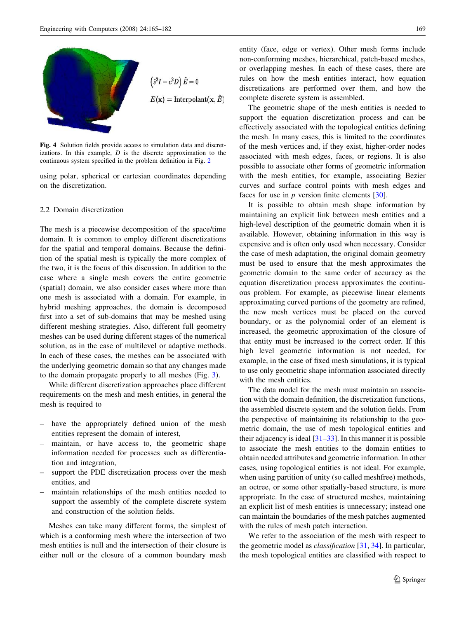<span id="page-4-0"></span>

Fig. 4 Solution fields provide access to simulation data and discretizations. In this example,  $D$  is the discrete approximation to the continuous system specified in the problem definition in Fig. [2](#page-3-0)

using polar, spherical or cartesian coordinates depending on the discretization.

# 2.2 Domain discretization

The mesh is a piecewise decomposition of the space/time domain. It is common to employ different discretizations for the spatial and temporal domains. Because the definition of the spatial mesh is typically the more complex of the two, it is the focus of this discussion. In addition to the case where a single mesh covers the entire geometric (spatial) domain, we also consider cases where more than one mesh is associated with a domain. For example, in hybrid meshing approaches, the domain is decomposed first into a set of sub-domains that may be meshed using different meshing strategies. Also, different full geometry meshes can be used during different stages of the numerical solution, as in the case of multilevel or adaptive methods. In each of these cases, the meshes can be associated with the underlying geometric domain so that any changes made to the domain propagate properly to all meshes (Fig. [3\)](#page-3-0).

While different discretization approaches place different requirements on the mesh and mesh entities, in general the mesh is required to

- have the appropriately defined union of the mesh entities represent the domain of interest,
- maintain, or have access to, the geometric shape information needed for processes such as differentiation and integration,
- support the PDE discretization process over the mesh entities, and
- maintain relationships of the mesh entities needed to support the assembly of the complete discrete system and construction of the solution fields.

Meshes can take many different forms, the simplest of which is a conforming mesh where the intersection of two mesh entities is null and the intersection of their closure is either null or the closure of a common boundary mesh entity (face, edge or vertex). Other mesh forms include non-conforming meshes, hierarchical, patch-based meshes, or overlapping meshes. In each of these cases, there are rules on how the mesh entities interact, how equation discretizations are performed over them, and how the complete discrete system is assembled.

The geometric shape of the mesh entities is needed to support the equation discretization process and can be effectively associated with the topological entities defining the mesh. In many cases, this is limited to the coordinates of the mesh vertices and, if they exist, higher-order nodes associated with mesh edges, faces, or regions. It is also possible to associate other forms of geometric information with the mesh entities, for example, associating Bezier curves and surface control points with mesh edges and faces for use in  $p$  version finite elements [\[30](#page-16-0)].

It is possible to obtain mesh shape information by maintaining an explicit link between mesh entities and a high-level description of the geometric domain when it is available. However, obtaining information in this way is expensive and is often only used when necessary. Consider the case of mesh adaptation, the original domain geometry must be used to ensure that the mesh approximates the geometric domain to the same order of accuracy as the equation discretization process approximates the continuous problem. For example, as piecewise linear elements approximating curved portions of the geometry are refined, the new mesh vertices must be placed on the curved boundary, or as the polynomial order of an element is increased, the geometric approximation of the closure of that entity must be increased to the correct order. If this high level geometric information is not needed, for example, in the case of fixed mesh simulations, it is typical to use only geometric shape information associated directly with the mesh entities.

The data model for the mesh must maintain an association with the domain definition, the discretization functions, the assembled discrete system and the solution fields. From the perspective of maintaining its relationship to the geometric domain, the use of mesh topological entities and their adjacency is ideal  $[31-33]$ . In this manner it is possible to associate the mesh entities to the domain entities to obtain needed attributes and geometric information. In other cases, using topological entities is not ideal. For example, when using partition of unity (so called meshfree) methods, an octree, or some other spatially-based structure, is more appropriate. In the case of structured meshes, maintaining an explicit list of mesh entities is unnecessary; instead one can maintain the boundaries of the mesh patches augmented with the rules of mesh patch interaction.

We refer to the association of the mesh with respect to the geometric model as classification [[31,](#page-16-0) [34](#page-16-0)]. In particular, the mesh topological entities are classified with respect to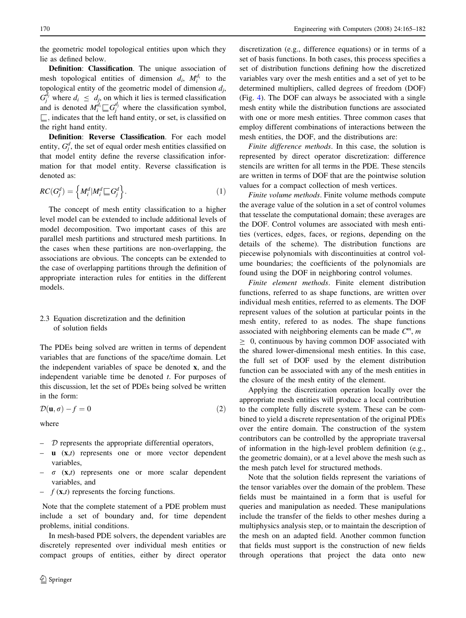the geometric model topological entities upon which they lie as defined below.

Definition: Classification. The unique association of mesh topological entities of dimension  $d_i$ ,  $M_i^{d_i}$  to the topological entity of the geometric model of dimension  $d_i$ ,  $G_j^{\tilde{d}_j}$  where  $d_i \leq d_j$ , on which it lies is termed classification and is denoted  $M_i^{\dot{d_i}} \sqsubseteq G_j^{d_j}$  where the classification symbol,  $\Box$ , indicates that the left hand entity, or set, is classified on the right hand entity.

Definition: Reverse Classification. For each model entity,  $G_j^d$ , the set of equal order mesh entities classified on that model entity define the reverse classification information for that model entity. Reverse classification is denoted as:

$$
RC(G_j^d) = \left\{ M_i^d | M_i^d \sqsubseteq G_j^d \right\}.
$$
 (1)

The concept of mesh entity classification to a higher level model can be extended to include additional levels of model decomposition. Two important cases of this are parallel mesh partitions and structured mesh partitions. In the cases when these partitions are non-overlapping, the associations are obvious. The concepts can be extended to the case of overlapping partitions through the definition of appropriate interaction rules for entities in the different models.

# 2.3 Equation discretization and the definition of solution fields

The PDEs being solved are written in terms of dependent variables that are functions of the space/time domain. Let the independent variables of space be denoted x, and the independent variable time be denoted  $t$ . For purposes of this discussion, let the set of PDEs being solved be written in the form:

$$
\mathcal{D}(\mathbf{u}, \sigma) - f = 0 \tag{2}
$$

where

- $D$  represents the appropriate differential operators,
- $\mathbf{u}$  ( $\mathbf{x},t$ ) represents one or more vector dependent variables,
- $\sigma$  (**x**,t) represents one or more scalar dependent variables, and
- $f(\mathbf{x},t)$  represents the forcing functions.

Note that the complete statement of a PDE problem must include a set of boundary and, for time dependent problems, initial conditions.

In mesh-based PDE solvers, the dependent variables are discretely represented over individual mesh entities or compact groups of entities, either by direct operator discretization (e.g., difference equations) or in terms of a set of basis functions. In both cases, this process specifies a set of distribution functions defining how the discretized variables vary over the mesh entities and a set of yet to be determined multipliers, called degrees of freedom (DOF) (Fig. [4\)](#page-4-0). The DOF can always be associated with a single mesh entity while the distribution functions are associated with one or more mesh entities. Three common cases that employ different combinations of interactions between the mesh entities, the DOF, and the distributions are:

Finite difference methods. In this case, the solution is represented by direct operator discretization: difference stencils are written for all terms in the PDE. These stencils are written in terms of DOF that are the pointwise solution values for a compact collection of mesh vertices.

Finite volume methods. Finite volume methods compute the average value of the solution in a set of control volumes that tesselate the computational domain; these averages are the DOF. Control volumes are associated with mesh entities (vertices, edges, faces, or regions, depending on the details of the scheme). The distribution functions are piecewise polynomials with discontinuities at control volume boundaries; the coefficients of the polynomials are found using the DOF in neighboring control volumes.

Finite element methods. Finite element distribution functions, referred to as shape functions, are written over individual mesh entities, referred to as elements. The DOF represent values of the solution at particular points in the mesh entity, refered to as nodes. The shape functions associated with neighboring elements can be made  $C^m$ , m  $\geq 0$ , continuous by having common DOF associated with the shared lower-dimensional mesh entities. In this case, the full set of DOF used by the element distribution function can be associated with any of the mesh entities in the closure of the mesh entity of the element.

Applying the discretization operation locally over the appropriate mesh entities will produce a local contribution to the complete fully discrete system. These can be combined to yield a discrete representation of the original PDEs over the entire domain. The construction of the system contributors can be controlled by the appropriate traversal of information in the high-level problem definition (e.g., the geometric domain), or at a level above the mesh such as the mesh patch level for structured methods.

Note that the solution fields represent the variations of the tensor variables over the domain of the problem. These fields must be maintained in a form that is useful for queries and manipulation as needed. These manipulations include the transfer of the fields to other meshes during a multiphysics analysis step, or to maintain the description of the mesh on an adapted field. Another common function that fields must support is the construction of new fields through operations that project the data onto new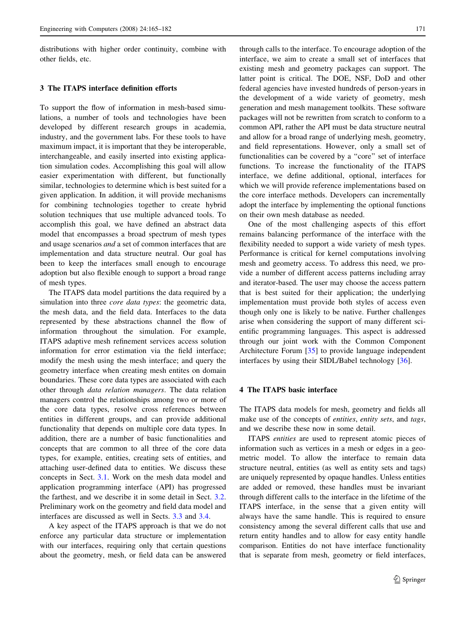<span id="page-6-0"></span>distributions with higher order continuity, combine with other fields, etc.

# 3 The ITAPS interface definition efforts

To support the flow of information in mesh-based simulations, a number of tools and technologies have been developed by different research groups in academia, industry, and the government labs. For these tools to have maximum impact, it is important that they be interoperable, interchangeable, and easily inserted into existing application simulation codes. Accomplishing this goal will allow easier experimentation with different, but functionally similar, technologies to determine which is best suited for a given application. In addition, it will provide mechanisms for combining technologies together to create hybrid solution techniques that use multiple advanced tools. To accomplish this goal, we have defined an abstract data model that encompasses a broad spectrum of mesh types and usage scenarios and a set of common interfaces that are implementation and data structure neutral. Our goal has been to keep the interfaces small enough to encourage adoption but also flexible enough to support a broad range of mesh types.

The ITAPS data model partitions the data required by a simulation into three *core data types*: the geometric data, the mesh data, and the field data. Interfaces to the data represented by these abstractions channel the flow of information throughout the simulation. For example, ITAPS adaptive mesh refinement services access solution information for error estimation via the field interface; modify the mesh using the mesh interface; and query the geometry interface when creating mesh entites on domain boundaries. These core data types are associated with each other through data relation managers. The data relation managers control the relationships among two or more of the core data types, resolve cross references between entities in different groups, and can provide additional functionality that depends on multiple core data types. In addition, there are a number of basic functionalities and concepts that are common to all three of the core data types, for example, entities, creating sets of entities, and attaching user-defined data to entities. We discuss these concepts in Sect. 3.1. Work on the mesh data model and application programming interface (API) has progressed the farthest, and we describe it in some detail in Sect. [3.2.](#page-7-0) Preliminary work on the geometry and field data model and interfaces are discussed as well in Sects. [3.3](#page-8-0) and [3.4.](#page-10-0)

A key aspect of the ITAPS approach is that we do not enforce any particular data structure or implementation with our interfaces, requiring only that certain questions about the geometry, mesh, or field data can be answered

through calls to the interface. To encourage adoption of the interface, we aim to create a small set of interfaces that existing mesh and geometry packages can support. The latter point is critical. The DOE, NSF, DoD and other federal agencies have invested hundreds of person-years in the development of a wide variety of geometry, mesh generation and mesh management toolkits. These software packages will not be rewritten from scratch to conform to a common API, rather the API must be data structure neutral and allow for a broad range of underlying mesh, geometry, and field representations. However, only a small set of functionalities can be covered by a ''core'' set of interface functions. To increase the functionality of the ITAPS interface, we define additional, optional, interfaces for which we will provide reference implementations based on the core interface methods. Developers can incrementally adopt the interface by implementing the optional functions on their own mesh database as needed.

One of the most challenging aspects of this effort remains balancing performance of the interface with the flexibility needed to support a wide variety of mesh types. Performance is critical for kernel computations involving mesh and geometry access. To address this need, we provide a number of different access patterns including array and iterator-based. The user may choose the access pattern that is best suited for their application; the underlying implementation must provide both styles of access even though only one is likely to be native. Further challenges arise when considering the support of many different scientific programming languages. This aspect is addressed through our joint work with the Common Component Architecture Forum [\[35](#page-16-0)] to provide language independent interfaces by using their SIDL/Babel technology [\[36](#page-16-0)].

# 4 The ITAPS basic interface

The ITAPS data models for mesh, geometry and fields all make use of the concepts of *entities*, *entity sets*, and *tags*, and we describe these now in some detail.

ITAPS entities are used to represent atomic pieces of information such as vertices in a mesh or edges in a geometric model. To allow the interface to remain data structure neutral, entities (as well as entity sets and tags) are uniquely represented by opaque handles. Unless entities are added or removed, these handles must be invariant through different calls to the interface in the lifetime of the ITAPS interface, in the sense that a given entity will always have the same handle. This is required to ensure consistency among the several different calls that use and return entity handles and to allow for easy entity handle comparison. Entities do not have interface functionality that is separate from mesh, geometry or field interfaces,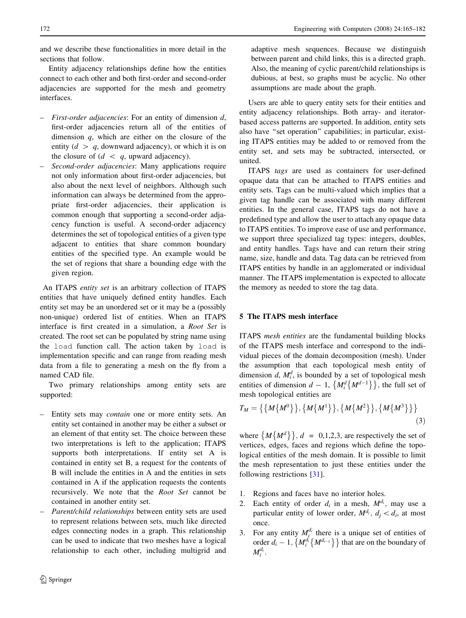<span id="page-7-0"></span>and we describe these functionalities in more detail in the sections that follow.

Entity adjacency relationships define how the entities connect to each other and both first-order and second-order adjacencies are supported for the mesh and geometry interfaces.

- First-order adjacencies: For an entity of dimension d, first-order adjacencies return all of the entities of dimension  $q$ , which are either on the closure of the entity  $(d > q$ , downward adjacency), or which it is on the closure of  $(d \, \langle \, q, \text{upward adjacency}).$
- Second-order adjacencies: Many applications require not only information about first-order adjacencies, but also about the next level of neighbors. Although such information can always be determined from the appropriate first-order adjacencies, their application is common enough that supporting a second-order adjacency function is useful. A second-order adjacency determines the set of topological entities of a given type adjacent to entities that share common boundary entities of the specified type. An example would be the set of regions that share a bounding edge with the given region.

An ITAPS entity set is an arbitrary collection of ITAPS entities that have uniquely defined entity handles. Each entity set may be an unordered set or it may be a (possibly non-unique) ordered list of entities. When an ITAPS interface is first created in a simulation, a Root Set is created. The root set can be populated by string name using the load function call. The action taken by load is implementation specific and can range from reading mesh data from a file to generating a mesh on the fly from a named CAD file.

Two primary relationships among entity sets are supported:

- Entity sets may contain one or more entity sets. An entity set contained in another may be either a subset or an element of that entity set. The choice between these two interpretations is left to the application; ITAPS supports both interpretations. If entity set A is contained in entity set B, a request for the contents of B will include the entities in A and the entities in sets contained in A if the application requests the contents recursively. We note that the Root Set cannot be contained in another entity set.
- Parent/child relationships between entity sets are used to represent relations between sets, much like directed edges connecting nodes in a graph. This relationship can be used to indicate that two meshes have a logical relationship to each other, including multigrid and

adaptive mesh sequences. Because we distinguish between parent and child links, this is a directed graph. Also, the meaning of cyclic parent/child relationships is dubious, at best, so graphs must be acyclic. No other assumptions are made about the graph.

Users are able to query entity sets for their entities and entity adjacency relationships. Both array- and iteratorbased access patterns are supported. In addition, entity sets also have ''set operation'' capabilities; in particular, existing ITAPS entities may be added to or removed from the entity set, and sets may be subtracted, intersected, or united.

ITAPS tags are used as containers for user-defined opaque data that can be attached to ITAPS entities and entity sets. Tags can be multi-valued which implies that a given tag handle can be associated with many different entities. In the general case, ITAPS tags do not have a predefined type and allow the user to attach any opaque data to ITAPS entities. To improve ease of use and performance, we support three specialized tag types: integers, doubles, and entity handles. Tags have and can return their string name, size, handle and data. Tag data can be retrieved from ITAPS entities by handle in an agglomerated or individual manner. The ITAPS implementation is expected to allocate the memory as needed to store the tag data.

### 5 The ITAPS mesh interface

ITAPS mesh entities are the fundamental building blocks of the ITAPS mesh interface and correspond to the individual pieces of the domain decomposition (mesh). Under the assumption that each topological mesh entity of dimension  $d$ ,  $M_i^d$ , is bounded by a set of topological mesh entities of dimension  $d-1$ ,  $\{M_i^d\{M^{d-1}\}\}\,$ , the full set of mesh topological entities are

$$
T_M = \{ \{ M\{M^0\} \}, \{ M\{M^1\} \}, \{ M\{M^2\} \}, \{ M\{M^3\} \} \}
$$
\n(3)

where  $\{M\{M^d\}\}\$ ,  $d = 0,1,2,3$ , are respectively the set of vertices, edges, faces and regions which define the topological entities of the mesh domain. It is possible to limit the mesh representation to just these entities under the following restrictions [[31](#page-16-0)].

- 1. Regions and faces have no interior holes.
- 2. Each entity of order  $d_i$  in a mesh,  $M^{d_i}$ , may use a particular entity of lower order,  $M^{d_j}$ ,  $d_j < d_i$ , at most once.
- 3. For any entity  $M_i^{d_i}$  there is a unique set of entities of order  $d_i - 1$ ,  $\{M_i^{d_i} \{M^{d_{i-1}}\}\}$  that are on the boundary of  $M_i^{d_i}.$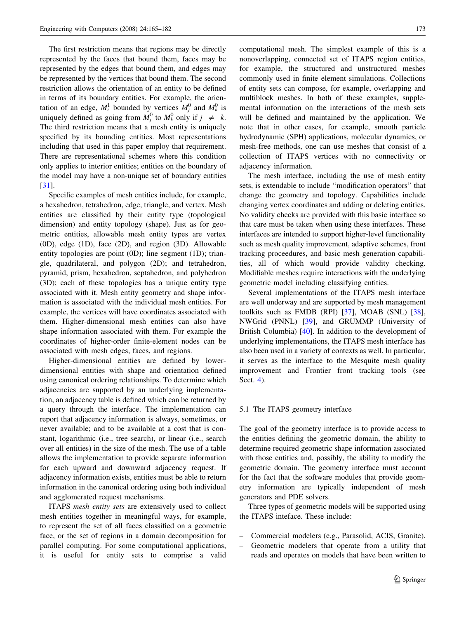<span id="page-8-0"></span>The first restriction means that regions may be directly represented by the faces that bound them, faces may be represented by the edges that bound them, and edges may be represented by the vertices that bound them. The second restriction allows the orientation of an entity to be defined in terms of its boundary entities. For example, the orientation of an edge,  $M_i^1$  bounded by vertices  $M_j^0$  and  $M_k^0$  is uniquely defined as going from  $M_j^0$  to  $M_k^0$  only if  $j \neq k$ . The third restriction means that a mesh entity is uniquely specified by its bounding entities. Most representations including that used in this paper employ that requirement. There are representational schemes where this condition only applies to interior entities; entities on the boundary of the model may have a non-unique set of boundary entities [\[31](#page-16-0)].

Specific examples of mesh entities include, for example, a hexahedron, tetrahedron, edge, triangle, and vertex. Mesh entities are classified by their entity type (topological dimension) and entity topology (shape). Just as for geometric entities, allowable mesh entity types are vertex (0D), edge (1D), face (2D), and region (3D). Allowable entity topologies are point (0D); line segment (1D); triangle, quadrilateral, and polygon (2D); and tetrahedron, pyramid, prism, hexahedron, septahedron, and polyhedron (3D); each of these topologies has a unique entity type associated with it. Mesh entity geometry and shape information is associated with the individual mesh entities. For example, the vertices will have coordinates associated with them. Higher-dimensional mesh entities can also have shape information associated with them. For example the coordinates of higher-order finite-element nodes can be associated with mesh edges, faces, and regions.

Higher-dimensional entities are defined by lowerdimensional entities with shape and orientation defined using canonical ordering relationships. To determine which adjacencies are supported by an underlying implementation, an adjacency table is defined which can be returned by a query through the interface. The implementation can report that adjacency information is always, sometimes, or never available; and to be available at a cost that is constant, logarithmic (i.e., tree search), or linear (i.e., search over all entities) in the size of the mesh. The use of a table allows the implementation to provide separate information for each upward and downward adjacency request. If adjacency information exists, entities must be able to return information in the canonical ordering using both individual and agglomerated request mechanisms.

ITAPS mesh entity sets are extensively used to collect mesh entities together in meaningful ways, for example, to represent the set of all faces classified on a geometric face, or the set of regions in a domain decomposition for parallel computing. For some computational applications, it is useful for entity sets to comprise a valid computational mesh. The simplest example of this is a nonoverlapping, connected set of ITAPS region entities, for example, the structured and unstructured meshes commonly used in finite element simulations. Collections of entity sets can compose, for example, overlapping and multiblock meshes. In both of these examples, supplemental information on the interactions of the mesh sets will be defined and maintained by the application. We note that in other cases, for example, smooth particle hydrodynamic (SPH) applications, molecular dynamics, or mesh-free methods, one can use meshes that consist of a collection of ITAPS vertices with no connectivity or adjacency information.

The mesh interface, including the use of mesh entity sets, is extendable to include ''modification operators'' that change the geometry and topology. Capabilities include changing vertex coordinates and adding or deleting entities. No validity checks are provided with this basic interface so that care must be taken when using these interfaces. These interfaces are intended to support higher-level functionality such as mesh quality improvement, adaptive schemes, front tracking proceedures, and basic mesh generation capabilities, all of which would provide validity checking. Modifiable meshes require interactions with the underlying geometric model including classifying entities.

Several implementations of the ITAPS mesh interface are well underway and are supported by mesh management toolkits such as FMDB (RPI) [[37\]](#page-16-0), MOAB (SNL) [\[38](#page-16-0)], NWGrid (PNNL) [\[39](#page-16-0)], and GRUMMP (University of British Columbia) [\[40](#page-17-0)]. In addition to the development of underlying implementations, the ITAPS mesh interface has also been used in a variety of contexts as well. In particular, it serves as the interface to the Mesquite mesh quality improvement and Frontier front tracking tools (see Sect. [4](#page-10-0)).

# 5.1 The ITAPS geometry interface

The goal of the geometry interface is to provide access to the entities defining the geometric domain, the ability to determine required geometric shape information associated with those entities and, possibly, the ability to modify the geometric domain. The geometry interface must account for the fact that the software modules that provide geometry information are typically independent of mesh generators and PDE solvers.

Three types of geometric models will be supported using the ITAPS inteface. These include:

- Commercial modelers (e.g., Parasolid, ACIS, Granite).
- Geometric modelers that operate from a utility that reads and operates on models that have been written to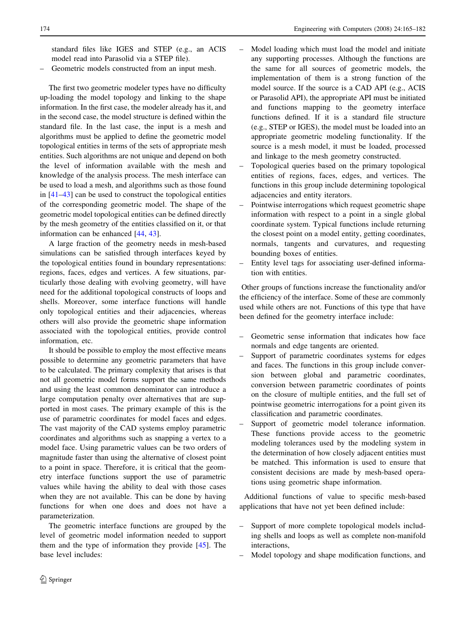standard files like IGES and STEP (e.g., an ACIS model read into Parasolid via a STEP file).

– Geometric models constructed from an input mesh.

The first two geometric modeler types have no difficulty up-loading the model topology and linking to the shape information. In the first case, the modeler already has it, and in the second case, the model structure is defined within the standard file. In the last case, the input is a mesh and algorithms must be applied to define the geometric model topological entities in terms of the sets of appropriate mesh entities. Such algorithms are not unique and depend on both the level of information available with the mesh and knowledge of the analysis process. The mesh interface can be used to load a mesh, and algorithms such as those found in [\[41](#page-17-0)–[43](#page-17-0)] can be used to construct the topological entities of the corresponding geometric model. The shape of the geometric model topological entities can be defined directly by the mesh geometry of the entities classified on it, or that information can be enhanced [[44,](#page-17-0) [43](#page-17-0)].

A large fraction of the geometry needs in mesh-based simulations can be satisfied through interfaces keyed by the topological entities found in boundary representations: regions, faces, edges and vertices. A few situations, particularly those dealing with evolving geometry, will have need for the additional topological constructs of loops and shells. Moreover, some interface functions will handle only topological entities and their adjacencies, whereas others will also provide the geometric shape information associated with the topological entities, provide control information, etc.

It should be possible to employ the most effective means possible to determine any geometric parameters that have to be calculated. The primary complexity that arises is that not all geometric model forms support the same methods and using the least common denominator can introduce a large computation penalty over alternatives that are supported in most cases. The primary example of this is the use of parametric coordinates for model faces and edges. The vast majority of the CAD systems employ parametric coordinates and algorithms such as snapping a vertex to a model face. Using parametric values can be two orders of magnitude faster than using the alternative of closest point to a point in space. Therefore, it is critical that the geometry interface functions support the use of parametric values while having the ability to deal with those cases when they are not available. This can be done by having functions for when one does and does not have a parameterization.

The geometric interface functions are grouped by the level of geometric model information needed to support them and the type of information they provide [[45\]](#page-17-0). The base level includes:

- Model loading which must load the model and initiate any supporting processes. Although the functions are the same for all sources of geometric models, the implementation of them is a strong function of the model source. If the source is a CAD API (e.g., ACIS or Parasolid API), the appropriate API must be initiated and functions mapping to the geometry interface functions defined. If it is a standard file structure (e.g., STEP or IGES), the model must be loaded into an appropriate geometric modeling functionality. If the source is a mesh model, it must be loaded, processed and linkage to the mesh geometry constructed.
- Topological queries based on the primary topological entities of regions, faces, edges, and vertices. The functions in this group include determining topological adjacencies and entity iterators.
- Pointwise interrogations which request geometric shape information with respect to a point in a single global coordinate system. Typical functions include returning the closest point on a model entity, getting coordinates, normals, tangents and curvatures, and requesting bounding boxes of entities.
- Entity level tags for associating user-defined information with entities.

Other groups of functions increase the functionality and/or the efficiency of the interface. Some of these are commonly used while others are not. Functions of this type that have been defined for the geometry interface include:

- Geometric sense information that indicates how face normals and edge tangents are oriented.
- Support of parametric coordinates systems for edges and faces. The functions in this group include conversion between global and parametric coordinates, conversion between parametric coordinates of points on the closure of multiple entities, and the full set of pointwise geometric interrogations for a point given its classification and parametric coordinates.
- Support of geometric model tolerance information. These functions provide access to the geometric modeling tolerances used by the modeling system in the determination of how closely adjacent entities must be matched. This information is used to ensure that consistent decisions are made by mesh-based operations using geometric shape information.

Additional functions of value to specific mesh-based applications that have not yet been defined include:

- Support of more complete topological models including shells and loops as well as complete non-manifold interactions,
- Model topology and shape modification functions, and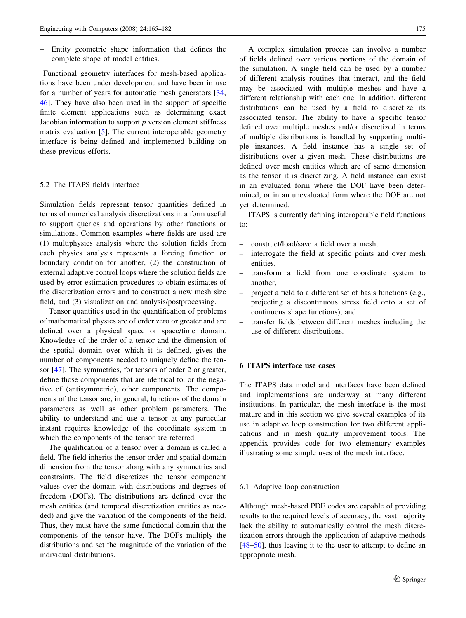<span id="page-10-0"></span>– Entity geometric shape information that defines the complete shape of model entities.

Functional geometry interfaces for mesh-based applications have been under development and have been in use for a number of years for automatic mesh generators [[34,](#page-16-0) [46](#page-17-0)]. They have also been used in the support of specific finite element applications such as determining exact Jacobian information to support  $p$  version element stiffness matrix evaluation [\[5](#page-16-0)]. The current interoperable geometry interface is being defined and implemented building on these previous efforts.

# 5.2 The ITAPS fields interface

Simulation fields represent tensor quantities defined in terms of numerical analysis discretizations in a form useful to support queries and operations by other functions or simulations. Common examples where fields are used are (1) multiphysics analysis where the solution fields from each physics analysis represents a forcing function or boundary condition for another, (2) the construction of external adaptive control loops where the solution fields are used by error estimation procedures to obtain estimates of the discretization errors and to construct a new mesh size field, and (3) visualization and analysis/postprocessing.

Tensor quantities used in the quantification of problems of mathematical physics are of order zero or greater and are defined over a physical space or space/time domain. Knowledge of the order of a tensor and the dimension of the spatial domain over which it is defined, gives the number of components needed to uniquely define the tensor [\[47](#page-17-0)]. The symmetries, for tensors of order 2 or greater, define those components that are identical to, or the negative of (antisymmetric), other components. The components of the tensor are, in general, functions of the domain parameters as well as other problem parameters. The ability to understand and use a tensor at any particular instant requires knowledge of the coordinate system in which the components of the tensor are referred.

The qualification of a tensor over a domain is called a field. The field inherits the tensor order and spatial domain dimension from the tensor along with any symmetries and constraints. The field discretizes the tensor component values over the domain with distributions and degrees of freedom (DOFs). The distributions are defined over the mesh entities (and temporal discretization entities as needed) and give the variation of the components of the field. Thus, they must have the same functional domain that the components of the tensor have. The DOFs multiply the distributions and set the magnitude of the variation of the individual distributions.

A complex simulation process can involve a number of fields defined over various portions of the domain of the simulation. A single field can be used by a number of different analysis routines that interact, and the field may be associated with multiple meshes and have a different relationship with each one. In addition, different distributions can be used by a field to discretize its associated tensor. The ability to have a specific tensor defined over multiple meshes and/or discretized in terms of multiple distributions is handled by supporting multiple instances. A field instance has a single set of distributions over a given mesh. These distributions are defined over mesh entities which are of same dimension as the tensor it is discretizing. A field instance can exist in an evaluated form where the DOF have been determined, or in an unevaluated form where the DOF are not yet determined.

ITAPS is currently defining interoperable field functions to:

- construct/load/save a field over a mesh,
- interrogate the field at specific points and over mesh entities,
- transform a field from one coordinate system to another,
- project a field to a different set of basis functions (e.g., projecting a discontinuous stress field onto a set of continuous shape functions), and
- transfer fields between different meshes including the use of different distributions.

# 6 ITAPS interface use cases

The ITAPS data model and interfaces have been defined and implementations are underway at many different institutions. In particular, the mesh interface is the most mature and in this section we give several examples of its use in adaptive loop construction for two different applications and in mesh quality improvement tools. The appendix provides code for two elementary examples illustrating some simple uses of the mesh interface.

# 6.1 Adaptive loop construction

Although mesh-based PDE codes are capable of providing results to the required levels of accuracy, the vast majority lack the ability to automatically control the mesh discretization errors through the application of adaptive methods [\[48–50](#page-17-0)], thus leaving it to the user to attempt to define an appropriate mesh.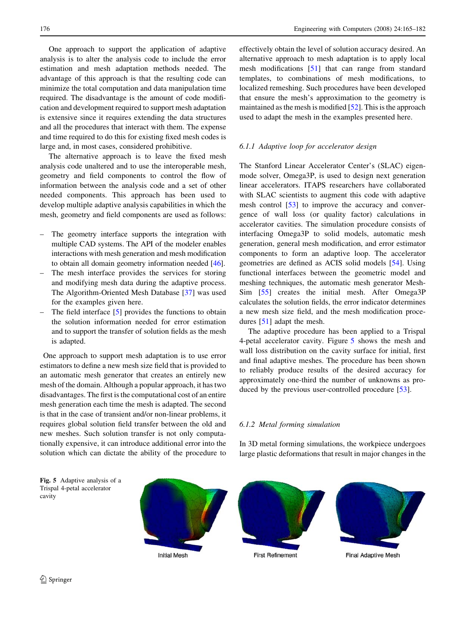One approach to support the application of adaptive analysis is to alter the analysis code to include the error estimation and mesh adaptation methods needed. The advantage of this approach is that the resulting code can minimize the total computation and data manipulation time required. The disadvantage is the amount of code modification and development required to support mesh adaptation is extensive since it requires extending the data structures and all the procedures that interact with them. The expense and time required to do this for existing fixed mesh codes is large and, in most cases, considered prohibitive.

The alternative approach is to leave the fixed mesh analysis code unaltered and to use the interoperable mesh, geometry and field components to control the flow of information between the analysis code and a set of other needed components. This approach has been used to develop multiple adaptive analysis capabilities in which the mesh, geometry and field components are used as follows:

- The geometry interface supports the integration with multiple CAD systems. The API of the modeler enables interactions with mesh generation and mesh modification to obtain all domain geometry information needed [[46](#page-17-0)].
- The mesh interface provides the services for storing and modifying mesh data during the adaptive process. The Algorithm-Oriented Mesh Database [[37\]](#page-16-0) was used for the examples given here.
- The field interface [[5\]](#page-16-0) provides the functions to obtain the solution information needed for error estimation and to support the transfer of solution fields as the mesh is adapted.

One approach to support mesh adaptation is to use error estimators to define a new mesh size field that is provided to an automatic mesh generator that creates an entirely new mesh of the domain. Although a popular approach, it has two disadvantages. The first is the computational cost of an entire mesh generation each time the mesh is adapted. The second is that in the case of transient and/or non-linear problems, it requires global solution field transfer between the old and new meshes. Such solution transfer is not only computationally expensive, it can introduce additional error into the solution which can dictate the ability of the procedure to effectively obtain the level of solution accuracy desired. An alternative approach to mesh adaptation is to apply local mesh modifications [[51\]](#page-17-0) that can range from standard templates, to combinations of mesh modifications, to localized remeshing. Such procedures have been developed that ensure the mesh's approximation to the geometry is maintained as the mesh is modified [\[52](#page-17-0)]. This is the approach used to adapt the mesh in the examples presented here.

# 6.1.1 Adaptive loop for accelerator design

The Stanford Linear Accelerator Center's (SLAC) eigenmode solver, Omega3P, is used to design next generation linear accelerators. ITAPS researchers have collaborated with SLAC scientists to augment this code with adaptive mesh control [\[53](#page-17-0)] to improve the accuracy and convergence of wall loss (or quality factor) calculations in accelerator cavities. The simulation procedure consists of interfacing Omega3P to solid models, automatic mesh generation, general mesh modification, and error estimator components to form an adaptive loop. The accelerator geometries are defined as ACIS solid models [[54\]](#page-17-0). Using functional interfaces between the geometric model and meshing techniques, the automatic mesh generator Mesh-Sim [[55\]](#page-17-0) creates the initial mesh. After Omega3P calculates the solution fields, the error indicator determines a new mesh size field, and the mesh modification procedures [\[51](#page-17-0)] adapt the mesh.

The adaptive procedure has been applied to a Trispal 4-petal accelerator cavity. Figure 5 shows the mesh and wall loss distribution on the cavity surface for initial, first and final adaptive meshes. The procedure has been shown to reliably produce results of the desired accuracy for approximately one-third the number of unknowns as produced by the previous user-controlled procedure [[53\]](#page-17-0).

### 6.1.2 Metal forming simulation

In 3D metal forming simulations, the workpiece undergoes large plastic deformations that result in major changes in the

Fig. 5 Adaptive analysis of a Trispal 4-petal accelerator cavity

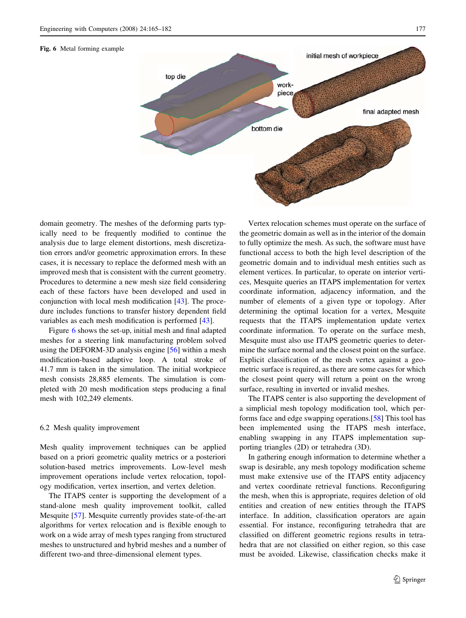#### Fig. 6 Metal forming example



domain geometry. The meshes of the deforming parts typically need to be frequently modified to continue the analysis due to large element distortions, mesh discretization errors and/or geometric approximation errors. In these cases, it is necessary to replace the deformed mesh with an improved mesh that is consistent with the current geometry. Procedures to determine a new mesh size field considering each of these factors have been developed and used in conjunction with local mesh modification [\[43](#page-17-0)]. The procedure includes functions to transfer history dependent field variables as each mesh modification is performed [\[43](#page-17-0)].

Figure 6 shows the set-up, initial mesh and final adapted meshes for a steering link manufacturing problem solved using the DEFORM-3D analysis engine [[56\]](#page-17-0) within a mesh modification-based adaptive loop. A total stroke of 41.7 mm is taken in the simulation. The initial workpiece mesh consists 28,885 elements. The simulation is completed with 20 mesh modification steps producing a final mesh with 102,249 elements.

### 6.2 Mesh quality improvement

Mesh quality improvement techniques can be applied based on a priori geometric quality metrics or a posteriori solution-based metrics improvements. Low-level mesh improvement operations include vertex relocation, topology modification, vertex insertion, and vertex deletion.

The ITAPS center is supporting the development of a stand-alone mesh quality improvement toolkit, called Mesquite [\[57](#page-17-0)]. Mesquite currently provides state-of-the-art algorithms for vertex relocation and is flexible enough to work on a wide array of mesh types ranging from structured meshes to unstructured and hybrid meshes and a number of different two-and three-dimensional element types.

Vertex relocation schemes must operate on the surface of the geometric domain as well as in the interior of the domain to fully optimize the mesh. As such, the software must have functional access to both the high level description of the geometric domain and to individual mesh entities such as element vertices. In particular, to operate on interior vertices, Mesquite queries an ITAPS implementation for vertex coordinate information, adjacency information, and the number of elements of a given type or topology. After determining the optimal location for a vertex, Mesquite requests that the ITAPS implementation update vertex coordinate information. To operate on the surface mesh, Mesquite must also use ITAPS geometric queries to determine the surface normal and the closest point on the surface. Explicit classification of the mesh vertex against a geometric surface is required, as there are some cases for which the closest point query will return a point on the wrong surface, resulting in inverted or invalid meshes.

The ITAPS center is also supporting the development of a simplicial mesh topology modification tool, which performs face and edge swapping operations.[\[58](#page-17-0)] This tool has been implemented using the ITAPS mesh interface, enabling swapping in any ITAPS implementation supporting triangles (2D) or tetrahedra (3D).

In gathering enough information to determine whether a swap is desirable, any mesh topology modification scheme must make extensive use of the ITAPS entity adjacency and vertex coordinate retrieval functions. Reconfiguring the mesh, when this is appropriate, requires deletion of old entities and creation of new entities through the ITAPS interface. In addition, classification operators are again essential. For instance, reconfiguring tetrahedra that are classified on different geometric regions results in tetrahedra that are not classified on either region, so this case must be avoided. Likewise, classification checks make it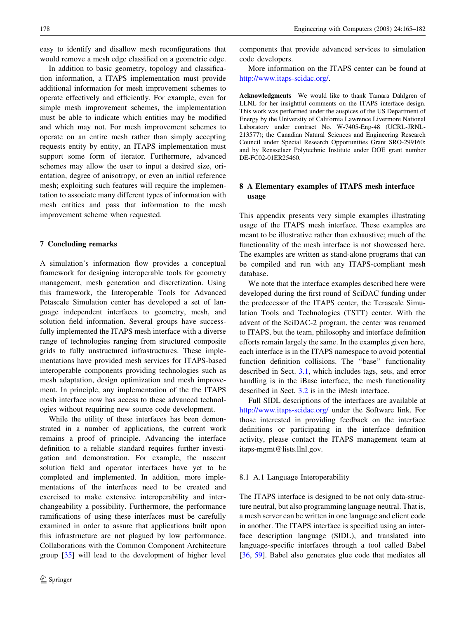easy to identify and disallow mesh reconfigurations that would remove a mesh edge classified on a geometric edge.

In addition to basic geometry, topology and classification information, a ITAPS implementation must provide additional information for mesh improvement schemes to operate effectively and efficiently. For example, even for simple mesh improvement schemes, the implementation must be able to indicate which entities may be modified and which may not. For mesh improvement schemes to operate on an entire mesh rather than simply accepting requests entity by entity, an ITAPS implementation must support some form of iterator. Furthermore, advanced schemes may allow the user to input a desired size, orientation, degree of anisotropy, or even an initial reference mesh; exploiting such features will require the implementation to associate many different types of information with mesh entities and pass that information to the mesh improvement scheme when requested.

# 7 Concluding remarks

A simulation's information flow provides a conceptual framework for designing interoperable tools for geometry management, mesh generation and discretization. Using this framework, the Interoperable Tools for Advanced Petascale Simulation center has developed a set of language independent interfaces to geometry, mesh, and solution field information. Several groups have successfully implemented the ITAPS mesh interface with a diverse range of technologies ranging from structured composite grids to fully unstructured infrastructures. These implementations have provided mesh services for ITAPS-based interoperable components providing technologies such as mesh adaptation, design optimization and mesh improvement. In principle, any implementation of the the ITAPS mesh interface now has access to these advanced technologies without requiring new source code development.

While the utility of these interfaces has been demonstrated in a number of applications, the current work remains a proof of principle. Advancing the interface definition to a reliable standard requires further investigation and demonstration. For example, the nascent solution field and operator interfaces have yet to be completed and implemented. In addition, more implementations of the interfaces need to be created and exercised to make extensive interoperability and interchangeability a possibility. Furthermore, the performance ramifications of using these interfaces must be carefully examined in order to assure that applications built upon this infrastructure are not plagued by low performance. Collaborations with the Common Component Architecture group [\[35](#page-16-0)] will lead to the development of higher level components that provide advanced services to simulation code developers.

More information on the ITAPS center can be found at <http://www.itaps-scidac.org/>.

Acknowledgments We would like to thank Tamara Dahlgren of LLNL for her insightful comments on the ITAPS interface design. This work was performed under the auspices of the US Department of Energy by the University of California Lawrence Livermore National Laboratory under contract No. W-7405-Eng-48 (UCRL-JRNL-213577); the Canadian Natural Sciences and Engineering Research Council under Special Research Opportunities Grant SRO-299160; and by Rensselaer Polytechnic Institute under DOE grant number DE-FC02-01ER25460.

# 8 A Elementary examples of ITAPS mesh interface usage

This appendix presents very simple examples illustrating usage of the ITAPS mesh interface. These examples are meant to be illustrative rather than exhaustive; much of the functionality of the mesh interface is not showcased here. The examples are written as stand-alone programs that can be compiled and run with any ITAPS-compliant mesh database.

We note that the interface examples described here were developed during the first round of SciDAC funding under the predecessor of the ITAPS center, the Terascale Simulation Tools and Technologies (TSTT) center. With the advent of the SciDAC-2 program, the center was renamed to ITAPS, but the team, philosophy and interface definition efforts remain largely the same. In the examples given here, each interface is in the ITAPS namespace to avoid potential function definition collisions. The ''base'' functionality described in Sect. [3.1](#page-6-0), which includes tags, sets, and error handling is in the iBase interface; the mesh functionality described in Sect. [3.2](#page-7-0) is in the iMesh interface.

Full SIDL descriptions of the interfaces are available at <http://www.itaps-scidac.org/> under the Software link. For those interested in providing feedback on the interface definitions or participating in the interface definition activity, please contact the ITAPS management team at itaps-mgmt@lists.llnl.gov.

#### 8.1 A.1 Language Interoperability

The ITAPS interface is designed to be not only data-structure neutral, but also programming language neutral. That is, a mesh server can be written in one language and client code in another. The ITAPS interface is specified using an interface description language (SIDL), and translated into language-specific interfaces through a tool called Babel [\[36](#page-16-0), [59\]](#page-17-0). Babel also generates glue code that mediates all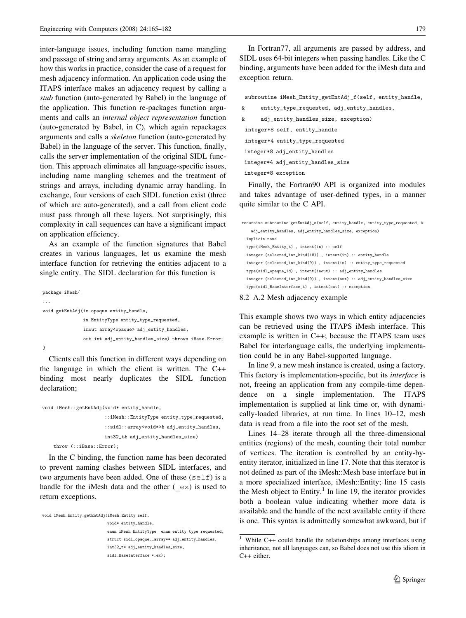inter-language issues, including function name mangling and passage of string and array arguments. As an example of how this works in practice, consider the case of a request for mesh adjacency information. An application code using the ITAPS interface makes an adjacency request by calling a stub function (auto-generated by Babel) in the language of the application. This function re-packages function arguments and calls an internal object representation function (auto-generated by Babel, in C), which again repackages arguments and calls a skeleton function (auto-generated by Babel) in the language of the server. This function, finally, calls the server implementation of the original SIDL function. This approach eliminates all language-specific issues, including name mangling schemes and the treatment of strings and arrays, including dynamic array handling. In exchange, four versions of each SIDL function exist (three of which are auto-generated), and a call from client code must pass through all these layers. Not surprisingly, this complexity in call sequences can have a significant impact on application efficiency.

As an example of the function signatures that Babel creates in various languages, let us examine the mesh interface function for retrieving the entities adjacent to a single entity. The SIDL declaration for this function is

```
package iMesh{
...
void getEntAdj(in opaque entity_handle,
               in EntityType entity_type_requested,
               inout array<opaque> adj_entity_handles,
               out int adj_entity_handles_size) throws iBase.Error;
}
```
Clients call this function in different ways depending on the language in which the client is written. The C++ binding most nearly duplicates the SIDL function declaration;

```
void iMesh::getEntAdj(void* entity_handle,
                      ::iMesh::EntityType entity_type_requested,
                      ::sidl::array<void*>& adj_entity_handles,
                      int32_t& adj_entity_handles_size)
   throw (::iBase::Error);
```
In the C binding, the function name has been decorated to prevent naming clashes between SIDL interfaces, and two arguments have been added. One of these  $(self)$  is a handle for the iMesh data and the other  $($   $ex)$  is used to return exceptions.

void iMesh\_Entity\_getEntAdj(iMesh\_Entity self,

void\* entity handle. enum iMesh\_EntityType\_\_enum entity\_type\_requested, struct sidl\_opaque\_\_array\*\* adj\_entity\_handles, int32\_t\* adj\_entity\_handles\_size, sidl\_BaseInterface \* ex);

In Fortran77, all arguments are passed by address, and SIDL uses 64-bit integers when passing handles. Like the C binding, arguments have been added for the iMesh data and exception return.

subroutine iMesh\_Entity\_getEntAdj\_f(self, entity\_handle,

```
& entity_type_requested, adj_entity_handles,
```

```
& adj_entity_handles_size, exception)
 integer*8 self, entity_handle
 integer*4 entity_type_requested
integer*8 adj_entity_handles
integer*4 adj_entity_handles_size
integer*8 exception
```
Finally, the Fortran90 API is organized into modules and takes advantage of user-defined types, in a manner quite similar to the C API.

| recursive subroutine getEntAdj_s(self, entity_handle, entity_type_requested, & |
|--------------------------------------------------------------------------------|
| adj_entity_handles, adj_entity_handles_size, exception)                        |
| implicit none                                                                  |
| type(iMesh_Entity_t), intent(in) :: self                                       |
| $integer (selected-int_kind(18))$ , $int(int_kind(e))$ ; $entity_handle$       |
| integer (selected_int_kind(9)), intent(in) :: entity_type_requested            |
| type(sidl_opaque_1d), intent(inout) :: adj_entity_handles                      |
| integer (selected_int_kind(9)), intent(out) :: adj_entity_handles_size         |
| type(sidl_BaseInterface_t), intent(out) :: exception                           |
|                                                                                |

### 8.2 A.2 Mesh adjacency example

This example shows two ways in which entity adjacencies can be retrieved using the ITAPS iMesh interface. This example is written in C++; because the ITAPS team uses Babel for interlanguage calls, the underlying implementation could be in any Babel-supported language.

In line 9, a new mesh instance is created, using a factory. This factory is implementation-specific, but its interface is not, freeing an application from any compile-time dependence on a single implementation. The ITAPS implementation is supplied at link time or, with dynamically-loaded libraries, at run time. In lines 10–12, mesh data is read from a file into the root set of the mesh.

Lines 14–28 iterate through all the three-dimensional entities (regions) of the mesh, counting their total number of vertices. The iteration is controlled by an entity-byentity iterator, initialized in line 17. Note that this iterator is not defined as part of the iMesh::Mesh base interface but in a more specialized interface, iMesh::Entity; line 15 casts the Mesh object to Entity.<sup>1</sup> In line 19, the iterator provides both a boolean value indicating whether more data is available and the handle of the next available entity if there is one. This syntax is admittedly somewhat awkward, but if

<sup>&</sup>lt;sup>1</sup> While C++ could handle the relationships among interfaces using inheritance, not all languages can, so Babel does not use this idiom in C++ either.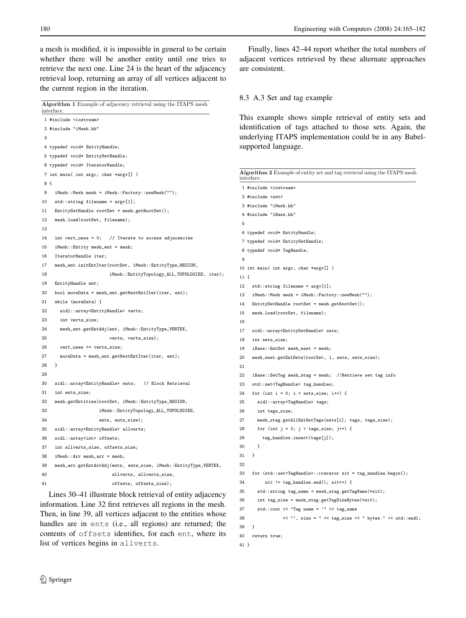a mesh is modified, it is impossible in general to be certain whether there will be another entity until one tries to retrieve the next one. Line 24 is the heart of the adjacency retrieval loop, returning an array of all vertices adjacent to the current region in the iteration.

| Algorithm 1 Example of adjacency retrieval using the ITAPS mesh |  |  |  |  |  |
|-----------------------------------------------------------------|--|--|--|--|--|
| interface                                                       |  |  |  |  |  |

|     | interface.                                                         |
|-----|--------------------------------------------------------------------|
|     | 1 #include <iostream></iostream>                                   |
|     | 2 #include "iMesh.hh"                                              |
| 3   |                                                                    |
|     | 4 typedef void* EntityHandle;                                      |
|     | 5 typedef void* EntitySetHandle;                                   |
|     | 6 typedef void* IteratorHandle;                                    |
|     | 7 int main( int argc, char *argv[])                                |
| 8 { |                                                                    |
| 9   | iMesh::Mesh mesh = iMesh::Factory::newMesh("");                    |
| 10  | $std::string filename = argv[1];$                                  |
| 11  | EntitySetHandle rootSet = mesh.getRootSet();                       |
| 12  | mesh.load(rootSet, filename);                                      |
| 13  |                                                                    |
| 14  | $int vert_uses = 0;$<br>// Iterate to access adjacencies           |
| 15  | iMesh::Entity mesh_ent = mesh;                                     |
| 16  | IteratorHandle iter;                                               |
| 17  | mesh_ent.initEntIter(rootSet, iMesh::EntityType_REGION,            |
| 18  | iMesh::EntityTopology_ALL_TOPOLOGIES, iter);                       |
| 19  | EntityHandle ent;                                                  |
| 20  | bool moreData = mesh_ent.getNextEntIter(iter, ent);                |
| 21  | while (moreData) {                                                 |
| 22  | sidl::array <entityhandle> verts;</entityhandle>                   |
| 23  | int verts_size;                                                    |
| 24  | mesh_ent.getEntAdj(ent, iMesh::EntityType_VERTEX,                  |
| 25  | verts, verts_size);                                                |
| 26  | vert_uses += verts_size;                                           |
| 27  | moreData = mesh_ent.getNextEntIter(iter, ent);                     |
| 28  | ŀ                                                                  |
| 29  |                                                                    |
| 30  | sidl::array <entityhandle> ents; // Block Retrieval</entityhandle> |
| 31  | int ents_size;                                                     |
| 32  | mesh.getEntities(rootSet, iMesh::EntityType_REGION,                |
| 33  | iMesh::EntityTopology_ALL_TOPOLOGIES,                              |
| 34  | ents, ents_size);                                                  |
| 35  | sidl::array <entityhandle> allverts;</entityhandle>                |
| 36  | sidl::array <int> offsets;</int>                                   |
| 37  | int allverts_size, offsets_size;                                   |
| 38  | $iMesh::Arr mesh_arr = mesh;$                                      |
| 39  | mesh_arr.getEntArrAdj(ents, ents_size, iMesh::EntityType_VERTEX,   |
| 40  | allverts, allverts_size,                                           |
| 41  | offsets, offsets_size);                                            |

Lines 30–41 illustrate block retrieval of entity adjacency information. Line 32 first retrieves all regions in the mesh. Then, in line 39, all vertices adjacent to the entities whose handles are in ents (i.e., all regions) are returned; the contents of offsets identifies, for each ent, where its list of vertices begins in allverts.

Finally, lines 42–44 report whether the total numbers of adjacent vertices retrieved by these alternate approaches are consistent.

# 8.3 A.3 Set and tag example

This example shows simple retrieval of entity sets and identification of tags attached to those sets. Again, the underlying ITAPS implementation could be in any Babelsupported language.

|          | 1 #include <iostream></iostream>                                           |
|----------|----------------------------------------------------------------------------|
|          | 2 #include <set></set>                                                     |
|          | 3 #include "iMesh.hh"                                                      |
|          | 4 #include "iBase.hh"                                                      |
| 5        |                                                                            |
|          | 6 typedef void* EntityHandle;                                              |
|          | 7 typedef void* EntitySetHandle;                                           |
|          | 8 typedef void* TagHandle;                                                 |
| 9        |                                                                            |
|          | 10 int main( int argc, char *argv[])                                       |
| $11 \t1$ |                                                                            |
| 12       | $std::string filename = argv[1];$                                          |
| 13       | iMesh:: Mesh mesh = iMesh:: Factory:: new Mesh ("");                       |
| 14       | EntitySetHandle rootSet = mesh.getRootSet();                               |
| 15       | mesh.load(rootSet, filename);                                              |
| 16       |                                                                            |
| 17       | sidl::array <entitysethandle> sets;</entitysethandle>                      |
| 18       | int sets_size;                                                             |
| 19       | iBase::EntSet mesh_eset = mesh;                                            |
| 20       | mesh_eset.getEntSets(rootSet, 1, sets, sets_size);                         |
| 21       |                                                                            |
| 22       | iBase::SetTag mesh_stag = mesh;<br>//Retrieve set tag info                 |
| 23       | std::set <taghandle> tag_handles;</taghandle>                              |
| 24       | for (int $i = 0$ ; $i < \text{sets}\_ \text{size}$ ; $i++)$ {              |
| 25       | sidl::array <taghandle> tags;</taghandle>                                  |
| 26       | int tags_size;                                                             |
| 27       | mesh_stag.getAllEntSetTags(sets[i], tags, tags_size);                      |
| 28       | for (int $j = 0$ ; $j < tags_size$ ; $j++)$ {                              |
| 29       | tag_handles.insert(tags[j]);                                               |
| 30       | }                                                                          |
| 31       | }                                                                          |
| 32       |                                                                            |
| 33       | for (std::set <taghandle>::iterator sit = tag_handles.begin();</taghandle> |
| 34       | $s$ it != tag_handles.end(); $s$ it++) {                                   |
| 35       | std::string tag_name = mesh_stag.getTagName(*sit);                         |
| 36       | int tag_size = mesh_stag.getTagSizeBytes(*sit);                            |
| 37       | std::cout << "Tag name = '" << tag_name                                    |
| 38       | << "', size = " << tag_size << " bytes." << std::endl;                     |
| 39       | }                                                                          |
| 40       | return true;                                                               |

41 }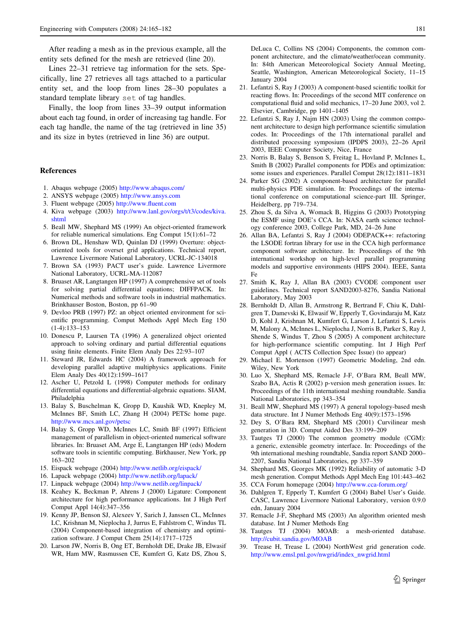<span id="page-16-0"></span>After reading a mesh as in the previous example, all the entity sets defined for the mesh are retrieved (line 20).

Lines 22–31 retrieve tag information for the sets. Specifically, line 27 retrieves all tags attached to a particular entity set, and the loop from lines 28–30 populates a standard template library set of tag handles.

Finally, the loop from lines 33–39 output information about each tag found, in order of increasing tag handle. For each tag handle, the name of the tag (retrieved in line 35) and its size in bytes (retrieved in line 36) are output.

### References

- 1. Abaqus webpage (2005) <http://www.abaqus.com/>
- 2. ANSYS webpage (2005) <http://www.ansys.com>
- 3. Fluent webpage (2005) <http://www.fluent.com>
- 4. Kiva webpage (2003) [http://www.lanl.gov/orgs/t/t3/codes/kiva.](http://www.lanl.gov/orgs/t/t3/codes/kiva.shtml) [shtml](http://www.lanl.gov/orgs/t/t3/codes/kiva.shtml)
- 5. Beall MW, Shephard MS (1999) An object-oriented framework for reliable numerical simulations. Eng Comput 15(1):61–72
- 6. Brown DL, Henshaw WD, Quinlan DJ (1999) Overture: objectoriented tools for overset grid applications. Technical report, Lawrence Livermore National Laboratory, UCRL-JC-134018
- 7. Brown SA (1993) PACT user's guide. Lawrence Livermore National Laboratory, UCRL-MA-112087
- 8. Bruaset AR, Langtangen HP (1997) A comprehensive set of tools for solving partial differential equations; DIFFPACK. In: Numerical methods and software tools in industrial mathematics. Brinkhauser Boston, Boston, pp 61–90
- 9. Devloo PRB (1997) PZ: an object oriented environment for scientific programming. Comput Methods Appl Mech Eng 150 (1-4):133–153
- 10. Donescu P, Laursen TA (1996) A generalized object oriented approach to solving ordinary and partial differential equations using finite elements. Finite Elem Analy Des 22:93–107
- 11. Steward JR, Edwards HC (2004) A framework approach for developing parallel adaptive multiphysics applications. Finite Elem Analy Des 40(12):1599–1617
- 12. Ascher U, Petzold L (1998) Computer methods for ordinary differential equations and differential-algebraic equations. SIAM, Philadelphia
- 13. Balay S, Buschelman K, Gropp D, Kaushik WD, Knepley M, McInnes BF, Smith LC, Zhang H (2004) PETSc home page. <http://www.mcs.anl.gov/petsc>
- 14. Balay S, Gropp WD, McInnes LC, Smith BF (1997) Efficient management of parallelism in object-oriented numerical software libraries. In: Bruaset AM, Arge E, Langtangen HP (eds) Modern software tools in scientific computing. Birkhauser, New York, pp 163–202
- 15. Eispack webpage (2004) <http://www.netlib.org/eispack/>
- 16. Lapack webpage (2004) <http://www.netlib.org/lapack/>
- 17. Linpack webpage (2004) <http://www.netlib.org/linpack/>
- 18. Keahey K, Beckman P, Ahrens J (2000) Ligature: Component architecture for high performance applications. Int J High Perf Comput Appl 14(4):347–356
- 19. Kenny JP, Benson SJ, Alexeev Y, Sarich J, Janssen CL, McInnes LC, Krishnan M, Nieplocha J, Jurrus E, Fahlstrom C, Windus TL (2004) Component-based integration of chemistry and optimization software. J Comput Chem 25(14):1717–1725
- 20. Larson JW, Norris B, Ong ET, Bernholdt DE, Drake JB, Elwasif WR, Ham MW, Rasmussen CE, Kumfert G, Katz DS, Zhou S,

DeLuca C, Collins NS (2004) Components, the common component architecture, and the climate/weather/ocean community. In: 84th American Meteorological Society Annual Meeting, Seattle, Washington, American Meteorological Society, 11–15 January 2004

- 21. Lefantzi S, Ray J (2003) A component-based scientific toolkit for reacting flows. In: Proceedings of the second MIT conference on computational fluid and solid mechanics, 17–20 June 2003, vol 2. Elsevier, Cambridge, pp 1401–1405
- 22. Lefantzi S, Ray J, Najm HN (2003) Using the common component architecture to design high performance scientific simulation codes. In: Proceedings of the 17th international parallel and distributed processing symposium (IPDPS 2003), 22–26 April 2003, IEEE Computer Society, Nice, France
- 23. Norris B, Balay S, Benson S, Freitag L, Hovland P, McInnes L, Smith B (2002) Parallel components for PDEs and optimization: some issues and experiences. Parallel Comput 28(12):1811–1831
- 24. Parker SG (2002) A component-based architecture for parallel multi-physics PDE simulation. In: Proceedings of the international conference on computational science-part III. Springer, Heidelberg, pp 719–734.
- 25. Zhou S, da Silva A, Womack B, Higgins G (2003) Prototyping the ESMF using DOE's CCA. In: NASA earth science technology conference 2003, College Park, MD, 24–26 June
- 26. Allan BA, Lefantzi S, Ray J (2004) ODEPACK++: refactoring the LSODE fortran library for use in the CCA high performance component software architecture. In: Proceedings of the 9th international workshop on high-level parallel programming models and supportive environments (HIPS 2004). IEEE, Santa Fe
- 27. Smith K, Ray J, Allan BA (2003) CVODE component user guidelines. Technical report SAND2003-8276, Sandia National Laboratory, May 2003
- 28. Bernholdt D, Allan B, Armstrong R, Bertrand F, Chiu K, Dahlgren T, Damevski K, Elwasif W, Epperly T, Govindaraju M, Katz D, Kohl J, Krishnan M, Kumfert G, Larson J, Lefantzi S, Lewis M, Malony A, McInnes L, Nieplocha J, Norris B, Parker S, Ray J, Shende S, Windus T, Zhou S (2005) A component architecture for high-performance scientific computing. Int J High Perf Comput Appl ( ACTS Collection Spec Issue) (to appear)
- 29. Michael E. Mortenson (1997) Geometric Modeling, 2nd edn. Wiley, New York
- 30. Luo X, Shephard MS, Remacle J-F, O'Bara RM, Beall MW, Szabo BA, Actis R (2002) p-version mesh generation issues. In: Proceedings of the 11th international meshing roundtable. Sandia National Laboratories, pp 343–354
- 31. Beall MW, Shephard MS (1997) A general topology-based mesh data structure. Int J Numer Methods Eng 40(9):1573–1596
- 32. Dey S, O'Bara RM, Shephard MS (2001) Curvilinear mesh generation in 3D. Comput Aided Des 33:199–209
- 33. Tautges TJ (2000) The common geometry module (CGM): a generic, extensible geometry interface. In: Proceedings of the 9th international meshing roundtable, Sandia report SAND 2000– 2207, Sandia National Laboratories, pp 337–359
- 34. Shephard MS, Georges MK (1992) Reliability of automatic 3-D mesh generation. Comput Methods Appl Mech Eng 101:443–462
- 35. CCA Forum homepage (2004) <http://www.cca-forum.org/>
- 36. Dahlgren T, Epperly T, Kumfert G (2004) Babel User's Guide. CASC, Lawrence Livermore National Laboratory, version 0.9.0 edn, January 2004
- 37. Remacle J-F, Shephard MS (2003) An algorithm oriented mesh database. Int J Numer Methods Eng
- 38. Tautges TJ (2004) MOAB: a mesh-oriented database. <http://cubit.sandia.gov/MOAB>
- 39. Trease H, Trease L (2004) NorthWest grid generation code. [http://www.emsl.pnl.gov/nwgrid/index\\_nwgrid.html](http://www.emsl.pnl.gov/nwgrid/index_nwgrid.html)